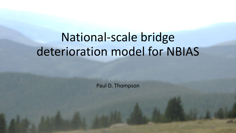# National-scale bridge deterioration model for NBIAS

Paul D. Thompson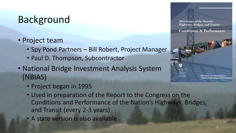# Background

- Project team
	- Spy Pond Partners Bill Robert, Project Manager
	- Paul D. Thompson, Subcontractor
- National Bridge Investment Analysis System (NBIAS)
	- Project began in 1995
	- Used in preparation of the Report to the Congress on the Conditions and Performance of the Nation's Highways, Bridges, and Transit (every 2-3 years)
	- A state version is also available



REPORT TO CONGRESS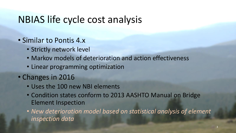# NBIAS life cycle cost analysis

- Similar to Pontis 4.x
	- Strictly network level
	- Markov models of deterioration and action effectiveness
	- Linear programming optimization
- Changes in 2016
	- Uses the 100 new NBI elements
	- Condition states conform to 2013 AASHTO Manual on Bridge Element Inspection
	- *New deterioration model based on statistical analysis of element inspection data*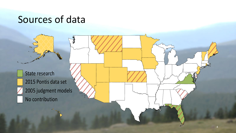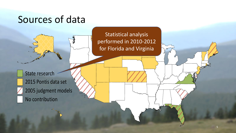Statistical analysis performed in 2010-2012 for Florida and Virginia

5

State research

2015 Pontis data set 2005 judgment models No contribution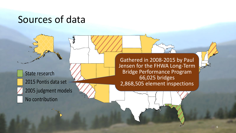State research 2015 Pontis data set  $2005$  judgment models

State research<br>
State research<br>
2015 Pontis data set<br>
2005 judgment models<br>
No contribution<br>
Contribution Jensen for the FHWA Long-Term Bridge Performance Program 66,025 bridges 2,868,505 element inspections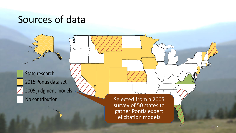State research 2015 Pontis data set  $2005$  judgment models No contribution Selected from a 2005

survey of 50 states to gather Pontis expert elicitation models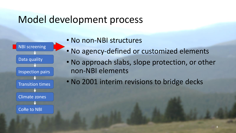

- No non-NBI structures
- No agency-defined or customized elements
- No approach slabs, slope protection, or other non-NBI elements
- No 2001 interim revisions to bridge decks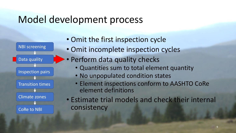

• Omit the first inspection cycle

- Omit incomplete inspection cycles
- Perform data quality checks
	- Quantities sum to total element quantity
	- No unpopulated condition states
	- Element inspections conform to AASHTO CoRe element definitions
- Estimate trial models and check their internal consistency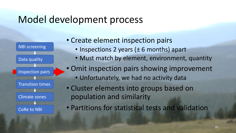

- Create element inspection pairs
	- Inspections 2 years (± 6 months) apart
	- Must match by element, environment, quantity
- Omit inspection pairs showing improvement
	- Unfortunately, we had no activity data
- Cluster elements into groups based on population and similarity
- Partitions for statistical tests and validation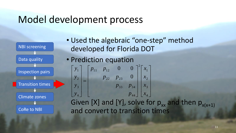

• Used the algebraic "one-step" method developed for Florida DOT

• Prediction equation Given [X] and [Y], solve for  $p_{xx}$  and then  $p_{x(x+1)}$ J Ĩ ı ı  $\overline{\phantom{0}}$ 1 l. L  $\overline{\phantom{a}}$  $\overline{\phantom{a}}$  $\overline{\phantom{a}}$ ł ł ł 1  $\overline{\phantom{0}}$ J  $\overline{\phantom{a}}$ I ٢ I ł ł ł  $\overline{\phantom{0}}$  $\overline{\phantom{a}}$ I I I L  $\overline{\mathsf{L}}$  $\mathsf{I}$ 4 3 2 1 2 44 33  $p_{34}$ 22  $p_{23}$ 11  $p_{12}$ 4 3 2 1 0 0 0 *x x x x p*  $p_{33}$  *p*  $p_{22}$  *p*  $p_{11}$  *p y y y y*

and convert to transition times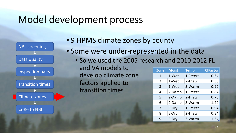

• 9 HPMS climate zones by county

- Some were under-represented in the data
	- So we used the 2005 research and 2010-2012 FL and VA models to develop climate zone factors applied to transition times **Zone Moist Temp ClFactor** 1 1-Wet 1-Freeze 0.64 2 1-Wet 2-Thaw 0.58 3 1-Wet 3-Warm 0.92

| 3 | 1-Wet  | 3-Warm    | 0.92 |
|---|--------|-----------|------|
| 4 | 2-Damp | 1-Freeze  | 0.84 |
| 5 | 2-Damp | $2$ -Thaw | 0.75 |
| 6 | 2-Damp | 3-Warm    | 1.20 |
| 7 | 3-Dry  | 1-Freeze  | 0.94 |
| 8 | 3-Dry  | $2$ -Thaw | 0.84 |
| 9 | 3-Dry  | 3-Warm    | 1.34 |
|   |        |           |      |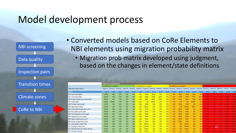

• Converted models based on CoRe Elements to NBI elements using migration probability matrix

• Migration prob matrix developed using judgment, based on the changes in element/state definitions

|                                | <b>Migration probabilities</b> |                        |     |            |            |                        |            |            |                 |            |                 |                                                                                                                        |            |            |            |                |                        |                |            |             |
|--------------------------------|--------------------------------|------------------------|-----|------------|------------|------------------------|------------|------------|-----------------|------------|-----------------|------------------------------------------------------------------------------------------------------------------------|------------|------------|------------|----------------|------------------------|----------------|------------|-------------|
|                                |                                | Probability to state 1 |     |            |            | Probability to state 2 |            |            |                 |            |                 | Probability to state 3                                                                                                 |            |            |            |                | Probability to state 4 |                |            |             |
| ement type name                |                                |                        |     |            |            |                        |            |            |                 |            |                 | From 1 From 2 From 3 From 4 From 5 From 1 From 2 From 3 From 4 From 5 From 1 From 3 From 4 From 5 From 1 From 2 From 3 |            |            |            |                |                        |                | From 4     | From 5      |
| ame                            | P <sub>11</sub>                | <b>P21</b>             | P31 | <b>P41</b> | <b>P51</b> | P <sub>12</sub>        | <b>P22</b> | <b>P32</b> | <b>P42</b>      | <b>P52</b> | P <sub>13</sub> | <b>P23</b>                                                                                                             | <b>P33</b> | <b>P43</b> | <b>P53</b> | <b>P14</b>     | <b>P24</b>             | <b>P34</b>     | <b>P44</b> | <b>P54</b>  |
| 1- Concrete deck               | 100%                           | 0%                     | 0%  | 0%         | 0%         | 0%                     | 80%        | 30%        | 0%              | 0%         | 0%              | 20%                                                                                                                    | 70%        | 70%        | 0%         |                |                        |                | 30%        | 100%        |
| 2-Concrete slab                | 100%                           | 0%                     | 0%  | 0%         | 0%         | 0%                     | 80%        | 60%        | 20%             | 0%         | 0%              | 20%                                                                                                                    | 40%        | 70%        | 50%        |                |                        | 0%             | 10%        |             |
| 3- Prestressed concrete slab   | 100%                           | 0%                     | 0%  | 0%         | 0%         | 0%                     | 80%        | 60%        | 20%             | 0%         | 0%              | 20%                                                                                                                    | 40%        | 70%        | 50%        |                |                        | 0%             | 10%        |             |
| 4-Steel deck                   | 100%                           | 100%                   | 0%  | 0%         | 0%         | 0%                     | 0%         | 100%       | 0%              | 0%         | 0%              | 0%                                                                                                                     | 0%         | 100%       | 0%         |                |                        | DM.            |            |             |
| 5-Timber deck/slab             | 100%                           | 0%                     | 0%  | 0%         | 0%         | 0%                     | 60%        | 0%         | 0%              | 0%         | 0%              | 40%                                                                                                                    | 70%        | 0%         | 0%         |                |                        |                | 100%       |             |
| 5-Approach slabs               | 100%                           | 0%                     | 0%  | 0%         | 0%         | 0%                     | 100%       | 0%         | O <sub>96</sub> | 0%         | 0%              | 0%                                                                                                                     | 100%       | 60%        | 0%         | <b>Dillo</b>   | DH.                    | o Ci           | 40%        | 1509        |
| 1-Strip Seal expansion joint   | 100%                           | 0%                     | 0%  | 0%         | 0%         | 0%                     | 50%        | 0%         | 0%              | 0%         | 0%              | 50%                                                                                                                    | 30%        | 0%         | 0%         | <b>DAS</b>     | 0%                     | 7.096          | 100%       |             |
| 2- Pourable joint seal         | 100%                           | 0%                     | 0%  | 0%         | 0%         | 0%                     | 50%        | 0%         | 0%              | 0%         | 0%              | 50%                                                                                                                    | 30%        | 0%         | 0%         | 63.7           | <b>Date</b>            | <b>COMPANY</b> | 100%       |             |
| 3- Compression joint seal      | 100%                           | 0%                     | 0%  | 0%         | 0%         | 0%                     | 50%        | 0%         | 0%              | 0%         | 0%              | 50%                                                                                                                    | 30%        | 0%         | 0%         |                |                        |                | 100%       | 1009        |
| 4-Assembly joint/seal          | 100%                           | 0%                     | 0%  | 0%         | 0%         | 0%                     | 50%        | 0%         | 0%              | 0%         | 0%              | 50%                                                                                                                    | 30%        | 0%         | 0%         | <b>STATE</b>   | <b>SIGN</b>            |                | 100%       | DOR         |
| 5-Open expansion joint         | 100%                           | 0%                     | 0%  | 0%         | 0%         | 0%                     | 50%        | 0%         | 0%              | 0%         | 0%              | 50%                                                                                                                    | 30%        | 0%         | 0%         |                |                        |                | 100%       | <b>LDOR</b> |
| 5-Other expansion joint        | 100%                           | 0%                     | 0%  | 0%         | 0%         | 0%                     | 50%        | 0%         | 0%              | 0%         | 0%              | 50%                                                                                                                    | 30%        | 0%         | 0%         |                |                        |                | 100%       | LE 54       |
| 1- Uncoated metal rail         | 100%                           | 0%                     | 0%  | 0%         | 0%         | 0%                     | 100%       | 0%         | 0%              | 0%         | 0%              | 0%                                                                                                                     | 100%       | 0%         | 0%         |                |                        |                | 100%       |             |
| 2- Coated metal rail           | 100%                           | 0%                     | 0%  | 0%         | 0%         | 0%                     | 100%       | 0%         | 0%              | 0%         | 0%              | 0%                                                                                                                     | 100%       | 0%         | 0%         | D <sub>2</sub> |                        | - 1 2          | 100%       | 12.000      |
| 3- Reinforced concrete railing | 100%                           | 0%                     | 0%  | 0%         | 0%         | 0%                     | 100%       | 0%         | 0%              | 0%         | 0%              | 0%                                                                                                                     | 100%       | 0%         | 0%         |                |                        |                | LOON       | <b>DOA</b>  |
| 1-Timber railing               | 100%                           | 0%                     | 0%  | 0%         | 0%         | 0%                     | 100%       | 0%         | 0%              | 0%         | 0%              | 0%                                                                                                                     | 50%        | 0%         | 0%         |                |                        | 50%            | 100%       |             |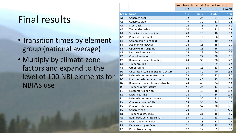# Final results

- Transition times by element group (national average)
- Multiply by climate zone factors and expand to the level of 100 NBI elements for NBIAS use

|                |                                    | From-To condition state (national average) |                   |         |              |  |  |  |  |
|----------------|------------------------------------|--------------------------------------------|-------------------|---------|--------------|--|--|--|--|
|                |                                    | $1 - 2$                                    | $2 - 3$           | $3 - 4$ | 1-worst      |  |  |  |  |
| <b>Group</b>   | <b>Name</b>                        | FinT1                                      | FinT <sub>2</sub> | FinT3   | <b>FinTW</b> |  |  |  |  |
| A1             | Concrete deck                      | 12                                         | 24                | 24      | 79           |  |  |  |  |
| A <sub>2</sub> | Concrete slab                      | 9                                          | 30                | 17      | 72           |  |  |  |  |
| A4             | Steel deck                         | 14                                         | 8                 | 9       | 41           |  |  |  |  |
| A5             | Timber deck/slab                   | 10                                         | 10                | 21      | 53           |  |  |  |  |
| <b>B1</b>      | Strip Seal expansion joint         | 28                                         | 10                | 10      | 59           |  |  |  |  |
| <b>B2</b>      | Pourable joint seal                | 12                                         | 6                 | 6       | 32           |  |  |  |  |
| B <sub>3</sub> | Compression joint seal             | 13                                         | 10                | 10      | 42           |  |  |  |  |
| <b>B4</b>      | Assembly joint/seal                | 24                                         | 15                | 15      | 70           |  |  |  |  |
| <b>B5</b>      | Open expansion joint               | 22                                         | 16                | 16      | 70           |  |  |  |  |
| C1             | Uncoated metal rail                | 18                                         | 27                | 56      | 127          |  |  |  |  |
| C <sub>2</sub> | Coated metal rail                  | 32                                         | 22                | 20      | 96           |  |  |  |  |
| C <sub>3</sub> | Reinforced concrete railing        | 44                                         | 36                | 28      | 140          |  |  |  |  |
| C <sub>4</sub> | <b>Timber railing</b>              | 31                                         | 9                 | 9       | 62           |  |  |  |  |
| C <sub>5</sub> | Other railing                      | 36                                         | 13                | 13      | 77           |  |  |  |  |
| D <sub>1</sub> | Unpainted steel super/substructure | 23                                         | 40                | 40      | 132          |  |  |  |  |
| D <sub>2</sub> | Painted steel superstructure       | 23                                         | 35                | 12      | 90           |  |  |  |  |
| D <sub>6</sub> | Prestressed concrete superstr      | 68                                         | 40                | 15      | 152          |  |  |  |  |
| D7             | Reinforced concrete superstructure | 24                                         | 40                | 24      | 113          |  |  |  |  |
| D <sub>8</sub> | Timber superstructure              | 41                                         | 24                | 13      | 100          |  |  |  |  |
| E1             | <b>Elastomeric bearings</b>        | 94                                         | 18                | 18      | 152          |  |  |  |  |
| E <sub>2</sub> | Metal bearings                     | 28                                         | 34                | 34      | 123          |  |  |  |  |
| F1             | Painted steel substructure         | 19                                         | 30                | 11      | 77           |  |  |  |  |
| F <sub>3</sub> | Concrete column/pile               | 38                                         | 34                | 36      | 140          |  |  |  |  |
| F5             | Concrete abutment                  | 50                                         | 57                | 30      | 176          |  |  |  |  |
| F <sub>6</sub> | Concrete cap                       | 70                                         | 73                | 34      | 225          |  |  |  |  |
| F8             | Timber substructure                | 18                                         | 31                | 16      | 85           |  |  |  |  |
| G1             | Reinforced concrete culverts       | 37                                         | 42                | 53      | 170          |  |  |  |  |
| G <sub>2</sub> | Metal and other culverts           | 12                                         | 18                | 31      | 78           |  |  |  |  |
| P1             | Deck wearing surface               | 11                                         | 32                | 19      | 79           |  |  |  |  |
| P <sub>2</sub> | Protective coating                 | 17                                         | 12                | 9       | 50           |  |  |  |  |